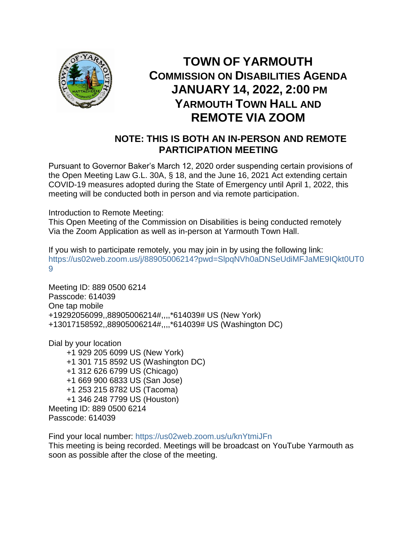

## **TOWN OF YARMOUTH COMMISSION ON DISABILITIES AGENDA JANUARY 14, 2022, 2:00 PM YARMOUTH TOWN HALL AND REMOTE VIA ZOOM**

## **NOTE: THIS IS BOTH AN IN-PERSON AND REMOTE PARTICIPATION MEETING**

Pursuant to Governor Baker's March 12, 2020 order suspending certain provisions of the Open Meeting Law G.L. 30A, § 18, and the June 16, 2021 Act extending certain COVID-19 measures adopted during the State of Emergency until April 1, 2022, this meeting will be conducted both in person and via remote participation.

Introduction to Remote Meeting:

This Open Meeting of the Commission on Disabilities is being conducted remotely Via the Zoom Application as well as in-person at Yarmouth Town Hall.

If you wish to participate remotely, you may join in by using the following link: [https://us02web.zoom.us/j/88905006214?pwd=SlpqNVh0aDNSeUdiMFJaME9IQkt0UT0](https://us02web.zoom.us/j/88905006214?pwd=SlpqNVh0aDNSeUdiMFJaME9IQkt0UT09) [9](https://us02web.zoom.us/j/88905006214?pwd=SlpqNVh0aDNSeUdiMFJaME9IQkt0UT09)

Meeting ID: 889 0500 6214 Passcode: 614039 One tap mobile +19292056099,,88905006214#,,,,\*614039# US (New York) +13017158592,,88905006214#,,,,\*614039# US (Washington DC)

Dial by your location

 +1 929 205 6099 US (New York) +1 301 715 8592 US (Washington DC) +1 312 626 6799 US (Chicago) +1 669 900 6833 US (San Jose) +1 253 215 8782 US (Tacoma) +1 346 248 7799 US (Houston) Meeting ID: 889 0500 6214 Passcode: 614039

Find your local number:<https://us02web.zoom.us/u/knYtmiJFn>

This meeting is being recorded. Meetings will be broadcast on YouTube Yarmouth as soon as possible after the close of the meeting.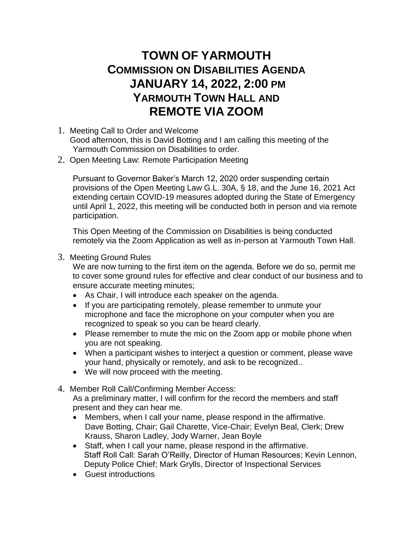## **TOWN OF YARMOUTH COMMISSION ON DISABILITIES AGENDA JANUARY 14, 2022, 2:00 PM YARMOUTH TOWN HALL AND REMOTE VIA ZOOM**

- 1. Meeting Call to Order and Welcome Good afternoon, this is David Botting and I am calling this meeting of the Yarmouth Commission on Disabilities to order.
- 2. Open Meeting Law: Remote Participation Meeting

Pursuant to Governor Baker's March 12, 2020 order suspending certain provisions of the Open Meeting Law G.L. 30A, § 18, and the June 16, 2021 Act extending certain COVID-19 measures adopted during the State of Emergency until April 1, 2022, this meeting will be conducted both in person and via remote participation.

This Open Meeting of the Commission on Disabilities is being conducted remotely via the Zoom Application as well as in-person at Yarmouth Town Hall.

3. Meeting Ground Rules

We are now turning to the first item on the agenda. Before we do so, permit me to cover some ground rules for effective and clear conduct of our business and to ensure accurate meeting minutes;

- As Chair, I will introduce each speaker on the agenda.
- If you are participating remotely, please remember to unmute your microphone and face the microphone on your computer when you are recognized to speak so you can be heard clearly.
- Please remember to mute the mic on the Zoom app or mobile phone when you are not speaking.
- When a participant wishes to interject a question or comment, please wave your hand, physically or remotely, and ask to be recognized..
- We will now proceed with the meeting.
- 4. Member Roll Call/Confirming Member Access:

As a preliminary matter, I will confirm for the record the members and staff present and they can hear me.

- Members, when I call your name, please respond in the affirmative. Dave Botting, Chair; Gail Charette, Vice-Chair; Evelyn Beal, Clerk; Drew Krauss, Sharon Ladley, Jody Warner, Jean Boyle
- Staff, when I call your name, please respond in the affirmative. Staff Roll Call: Sarah O'Reilly, Director of Human Resources; Kevin Lennon, Deputy Police Chief; Mark Grylls, Director of Inspectional Services
- Guest introductions